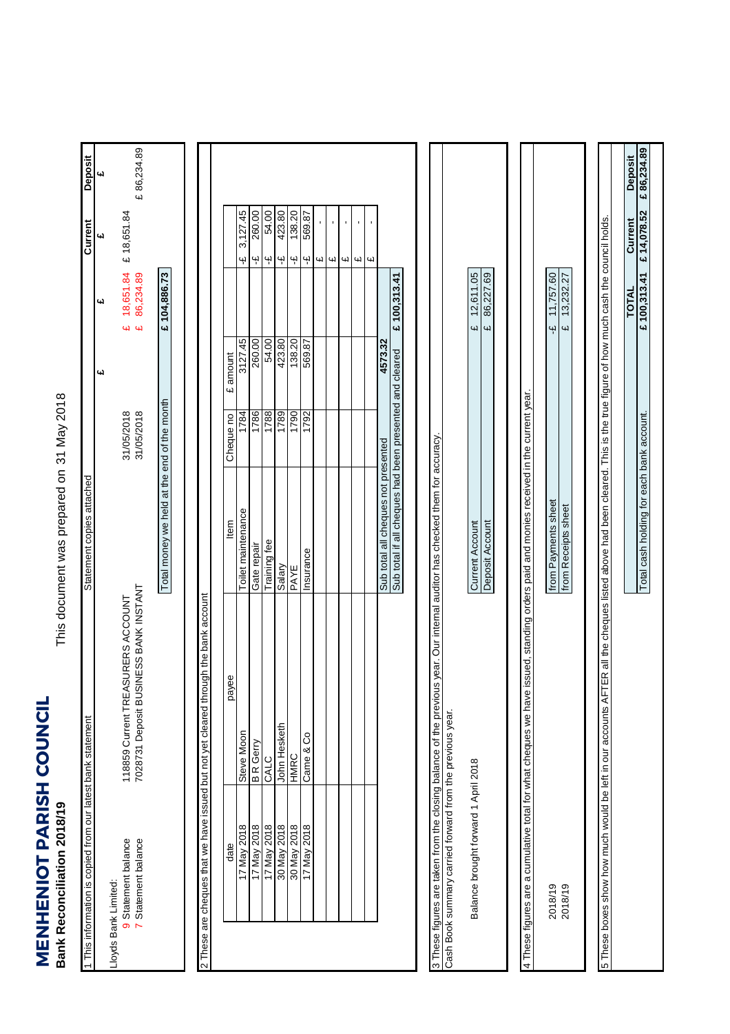**MENHENIOT PARISH COUNCIL**<br>Bank Reconciliation 2018/19 **MENHENIOT PARISH COUNCIL Bank Reconciliation 2018/19**

This document was prepared on 31 May 2018 This document was prepared on

| This information is copied from our latest bank statement       |                                                                                                                              | Statement copies attached                                                                                     |                          |             |                                      | Current                                   | Deposit        |
|-----------------------------------------------------------------|------------------------------------------------------------------------------------------------------------------------------|---------------------------------------------------------------------------------------------------------------|--------------------------|-------------|--------------------------------------|-------------------------------------------|----------------|
| Lloyds Bank Limited:                                            |                                                                                                                              |                                                                                                               |                          | یبا         | <b>س</b>                             | ۵J                                        | 4d             |
| 7 Statement balance<br>9 Statement balance                      | 7028731 Deposit BUSINESS BANK INSTANT<br>SURERS ACCOUNT<br>118859 Current TREA                                               |                                                                                                               | 31/05/2018<br>31/05/2018 |             | 18,651.84<br>86,234.89<br><b>น ผ</b> | £18,651.84                                | £86,234.89     |
|                                                                 |                                                                                                                              | Total money we held at the end of the month                                                                   |                          |             | £ 104,886.73                         |                                           |                |
|                                                                 | These are cheques that we have issued but not yet cleared through the bank account                                           |                                                                                                               |                          |             |                                      |                                           |                |
| date                                                            | ee<br>yed                                                                                                                    | ltem                                                                                                          | Cheque no                | amount<br>Ġ |                                      |                                           |                |
| 17 May 2018                                                     | Steve Moon                                                                                                                   | Toilet maintenance                                                                                            | 1784                     | 3127.45     |                                      | 3,127.45<br>Ψ                             |                |
| 17 May 2018                                                     | <b>B</b> R Gerry                                                                                                             | Gate repair                                                                                                   | 1786                     | 260.00      |                                      | 260.00<br>Ψ                               |                |
| 17 May 2018                                                     | <b>CALC</b>                                                                                                                  | Training fee                                                                                                  | 1788                     | 54.00       |                                      | 54.00<br>Ψ                                |                |
| 30 May 2018                                                     | John Hesketh                                                                                                                 | Salary                                                                                                        | 1789                     | 423.80      |                                      | 423.80<br>Ψ                               |                |
| 30 May 2018                                                     | <b>CHMH</b>                                                                                                                  | PAYE                                                                                                          | 1790                     | 138.20      |                                      | 138.20<br>$\ddot{\mathbf{r}}$             |                |
| 17 May 2018                                                     | Came & Co                                                                                                                    | Insurance                                                                                                     | 1792                     | 569.87      |                                      | 569.87<br>$\ddot{\mathbf{r}}$             |                |
|                                                                 |                                                                                                                              |                                                                                                               |                          |             |                                      | Щ                                         |                |
|                                                                 |                                                                                                                              |                                                                                                               |                          |             |                                      | $\bar{\mathbf{r}}$<br>СŲ                  |                |
|                                                                 |                                                                                                                              |                                                                                                               |                          |             |                                      | ı<br>Ч                                    |                |
|                                                                 |                                                                                                                              |                                                                                                               |                          |             |                                      | r.<br>$\omega$                            |                |
|                                                                 |                                                                                                                              |                                                                                                               |                          |             |                                      | $\blacksquare$<br>$\overline{\mathbf{u}}$ |                |
|                                                                 |                                                                                                                              | Sub total all cheques not presented                                                                           |                          | 4573.32     |                                      |                                           |                |
|                                                                 |                                                                                                                              | Sub total if all cheques had been presented and cleared                                                       |                          |             | £ 100,313.41                         |                                           |                |
| Cash Book summary carried forward from the previous year.       | 3 These figures are taken from the closing balance of the previous year. Our internal auditor has checked them for accuracy. |                                                                                                               |                          |             |                                      |                                           |                |
| Balance brought forward 1 April 2018                            |                                                                                                                              | Current Account                                                                                               |                          |             | 12,611.05<br>CH)                     |                                           |                |
|                                                                 |                                                                                                                              | Deposit Account                                                                                               |                          |             | 86,227.69<br>4                       |                                           |                |
|                                                                 |                                                                                                                              |                                                                                                               |                          |             |                                      |                                           |                |
| 4 These figures are a cumulative total for what cheques we have |                                                                                                                              | ssued, standing orders paid and monies received in the current year.                                          |                          |             |                                      |                                           |                |
| 2018/19                                                         |                                                                                                                              | from Payments sheet                                                                                           |                          |             | 11,757.60<br>Ψ                       |                                           |                |
| 2018/19                                                         |                                                                                                                              | from Receipts sheet                                                                                           |                          |             | 13,232.27<br>Щ                       |                                           |                |
|                                                                 |                                                                                                                              |                                                                                                               |                          |             |                                      |                                           |                |
| 5 These boxes show how much would be left in our accounts AF    |                                                                                                                              | ER all the cheques listed above had been cleared. This is the true figure of how much cash the council holds. |                          |             |                                      |                                           |                |
|                                                                 |                                                                                                                              |                                                                                                               |                          |             | <b>TOTAL</b>                         | Current                                   | <b>Deposit</b> |
|                                                                 |                                                                                                                              | Total cash holding for each bank account.                                                                     |                          |             | £100,313.41                          | £14,078.52                                | £86,234.89     |
|                                                                 |                                                                                                                              |                                                                                                               |                          |             |                                      |                                           |                |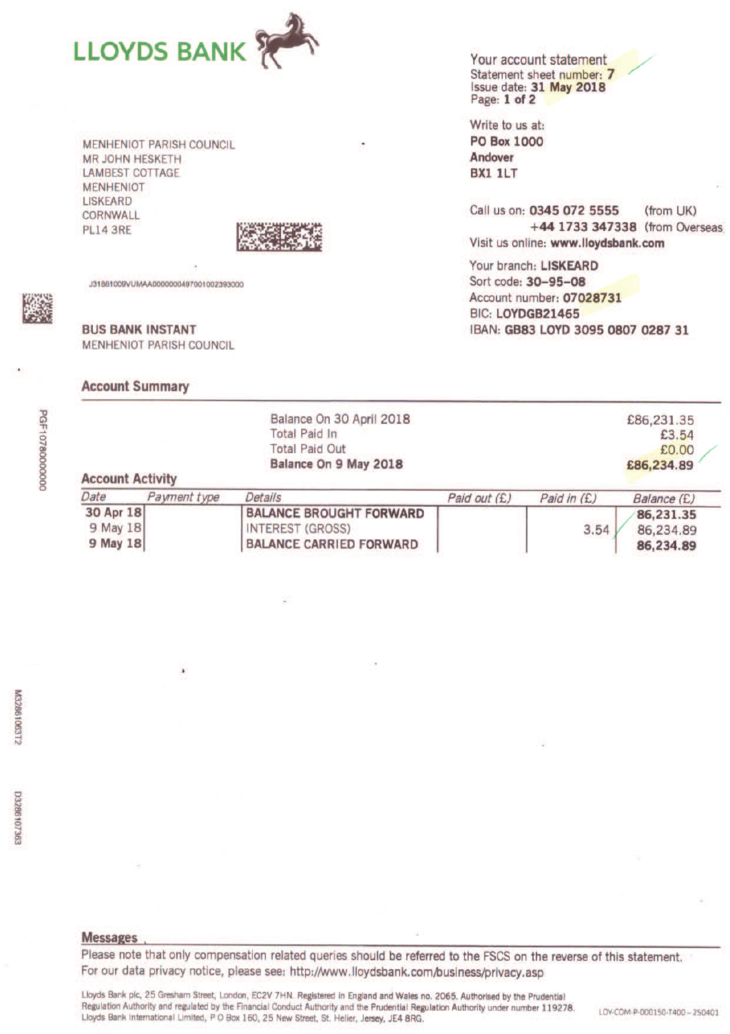

**MENHENIOT PARISH COUNCIL MR JOHN HESKETH LAMBEST COTTAGE MENHENIOT** LISKEARD CORNWALL **PL14 3RE** 



**INTEREST (GROSS)** 

**BALANCE CARRIED FORWARD** 

J31861009VUMAA0000000497001002393000

**BUS BANK INSTANT MENHENIOT PARISH COUNCIL** 

## **Account Summary**

9 May 18

**9 May 18** 

Your account statement Statement sheet number: 7 Issue date: 31 May 2018 Page: 1 of 2

Write to us at: **PO Box 1000 Andover BX1 1LT** 

Call us on: 0345 072 5555 (from UK) +44 1733 347338 (from Overseas Visit us online: www.lloydsbank.com

3.54

86,234.89

86,234.89

Your branch: LISKEARD Sort code: 30-95-08 Account number: 07028731 BIC: LOYDGB21465 IBAN: GB83 LOYD 3095 0807 0287 31

|                         |              | Balance On 30 April 2018       |              |               | £86,231,35  |
|-------------------------|--------------|--------------------------------|--------------|---------------|-------------|
|                         |              | Total Paid In                  |              |               | £3.54       |
|                         |              | <b>Total Paid Out</b>          |              |               | £0.00       |
|                         |              | Balance On 9 May 2018          |              |               | £86,234.89  |
| <b>Account Activity</b> |              |                                |              |               |             |
| Date                    | Payment type | Details                        | Paid out (£) | Paid in $(E)$ | Balance (£) |
| 30 Apr 18               |              | <b>BALANCE BROUGHT FORWARD</b> |              |               | 86,231.35   |

**PGF10780000000** 

VI3286106312

Please note that only compensation related queries should be referred to the FSCS on the reverse of this statement. For our data privacy notice, please see: http://www.lloydsbank.com/business/privacy.asp

Lloyds Bank plc, 25 Gresham Street, London, EC2V 7HN. Registered in England and Wales no. 2065. Authorised by the Prudential Regulation Authority and regulated by the Financial Conduct Authority and the Prudential Regulation Authority under number 119278. Lloyds Bank International Limited, P O Box 160, 25 New Street, St. Helier, Jersey, JE4 8RG.